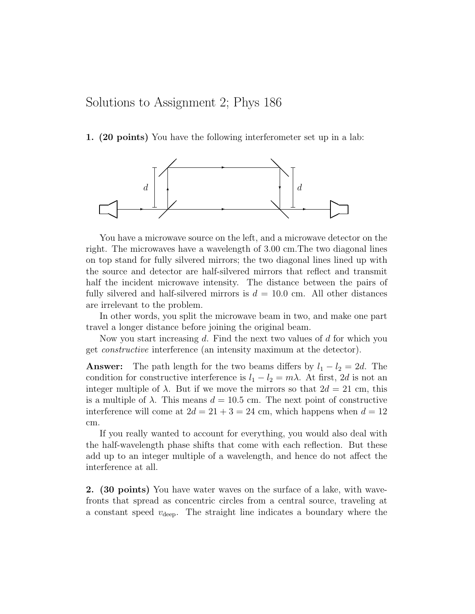## Solutions to Assignment 2; Phys 186

1. (20 points) You have the following interferometer set up in a lab:



You have a microwave source on the left, and a microwave detector on the right. The microwaves have a wavelength of 3.00 cm.The two diagonal lines on top stand for fully silvered mirrors; the two diagonal lines lined up with the source and detector are half-silvered mirrors that reflect and transmit half the incident microwave intensity. The distance between the pairs of fully silvered and half-silvered mirrors is  $d = 10.0$  cm. All other distances are irrelevant to the problem.

In other words, you split the microwave beam in two, and make one part travel a longer distance before joining the original beam.

Now you start increasing  $d$ . Find the next two values of  $d$  for which you get constructive interference (an intensity maximum at the detector).

**Answer:** The path length for the two beams differs by  $l_1 - l_2 = 2d$ . The condition for constructive interference is  $l_1 - l_2 = m\lambda$ . At first, 2d is not an integer multiple of  $\lambda$ . But if we move the mirrors so that  $2d = 21$  cm, this is a multiple of  $\lambda$ . This means  $d = 10.5$  cm. The next point of constructive interference will come at  $2d = 21 + 3 = 24$  cm, which happens when  $d = 12$ cm.

If you really wanted to account for everything, you would also deal with the half-wavelength phase shifts that come with each reflection. But these add up to an integer multiple of a wavelength, and hence do not affect the interference at all.

2. (30 points) You have water waves on the surface of a lake, with wavefronts that spread as concentric circles from a central source, traveling at a constant speed  $v_{\text{deep}}$ . The straight line indicates a boundary where the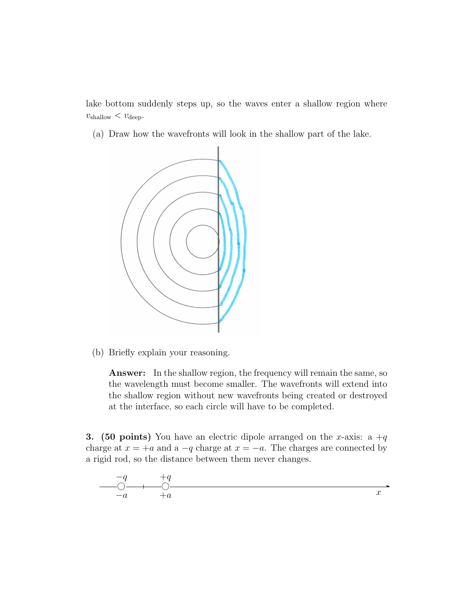lake bottom suddenly steps up, so the waves enter a shallow region where  $v_{\text{shallow}} < v_{\text{deep}}$ .

(a) Draw how the wavefronts will look in the shallow part of the lake.



(b) Briefly explain your reasoning.

Answer: In the shallow region, the frequency will remain the same, so the wavelength must become smaller. The wavefronts will extend into the shallow region without new wavefronts being created or destroyed at the interface, so each circle will have to be completed.

**3.** (50 points) You have an electric dipole arranged on the x-axis: a  $+q$ charge at  $x = +a$  and a  $-q$  charge at  $x = -a$ . The charges are connected by a rigid rod, so the distance between them never changes.

$$
\begin{array}{c}\n-q \\
\hline\n0 \\
-a \\
\end{array}
$$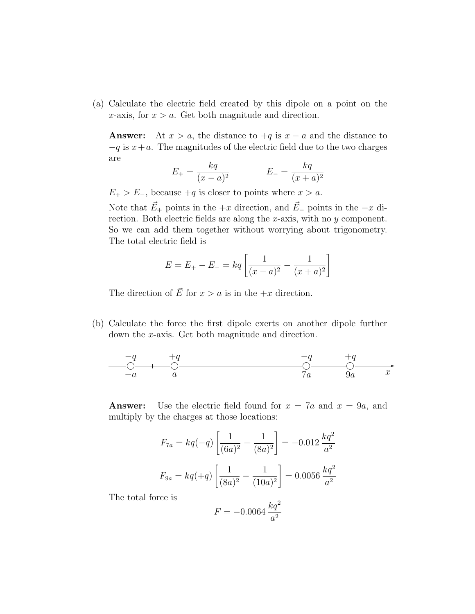(a) Calculate the electric field created by this dipole on a point on the x-axis, for  $x > a$ . Get both magnitude and direction.

Answer: At  $x > a$ , the distance to  $+q$  is  $x - a$  and the distance to  $-q$  is  $x+a$ . The magnitudes of the electric field due to the two charges are

$$
E_{+} = \frac{kq}{(x-a)^2} \qquad \qquad E_{-} = \frac{kq}{(x+a)^2}
$$

 $E_{+} > E_{-}$ , because  $+q$  is closer to points where  $x > a$ .

Note that  $\vec{E}_+$  points in the  $+x$  direction, and  $\vec{E}_-$  points in the  $-x$  direction. Both electric fields are along the x-axis, with no y component. So we can add them together without worrying about trigonometry. The total electric field is

$$
E = E_{+} - E_{-} = kq \left[ \frac{1}{(x-a)^2} - \frac{1}{(x+a)^2} \right]
$$

The direction of  $\vec{E}$  for  $x > a$  is in the  $+x$  direction.

(b) Calculate the force the first dipole exerts on another dipole further down the x-axis. Get both magnitude and direction.

$$
\begin{array}{c|cc}\n-q & +q & -q & +q \\
\hline\n0 & 0 & 0 & 0 \\
\hline\n-a & a & 7a & 9a\n\end{array}
$$

**Answer:** Use the electric field found for  $x = 7a$  and  $x = 9a$ , and multiply by the charges at those locations:

$$
F_{7a} = kq(-q) \left[ \frac{1}{(6a)^2} - \frac{1}{(8a)^2} \right] = -0.012 \frac{kq^2}{a^2}
$$

$$
F_{9a} = kq(+q) \left[ \frac{1}{(8a)^2} - \frac{1}{(10a)^2} \right] = 0.0056 \frac{kq^2}{a^2}
$$

The total force is

$$
F = -0.0064 \, \frac{kq^2}{a^2}
$$